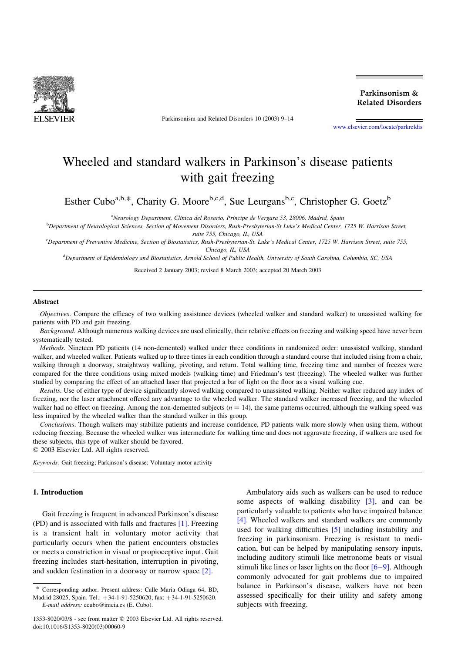

Parkinsonism and Related Disorders 10 (2003) 9–14

Parkinsonism & **Related Disorders** 

[www.elsevier.com/locate/parkreldis](http://www.elsevier.com/locate/parkreldis)

# Wheeled and standard walkers in Parkinson's disease patients with gait freezing

Esther Cubo<sup>a,b,\*</sup>, Charity G. Moore<sup>b,c,d</sup>, Sue Leurgans<sup>b,c</sup>, Christopher G. Goetz<sup>b</sup>

a<br>Neurology Department, Clínica del Rosario, Príncipe de Vergara 53, 28006, Madrid, Spain

b Department of Neurological Sciences, Section of Movement Disorders, Rush-Presbyterian-St Luke's Medical Center, 1725 W. Harrison Street, suite 755, Chicago, IL, USA

c Department of Preventive Medicine, Section of Biostatistics, Rush-Presbyterian-St. Luke's Medical Center, 1725 W. Harrison Street, suite 755, Chicago, IL, USA

<sup>d</sup>Department of Epidemiology and Biostatistics, Arnold School of Public Health, University of South Carolina, Columbia, SC, USA

Received 2 January 2003; revised 8 March 2003; accepted 20 March 2003

## Abstract

Objectives. Compare the efficacy of two walking assistance devices (wheeled walker and standard walker) to unassisted walking for patients with PD and gait freezing.

Background. Although numerous walking devices are used clinically, their relative effects on freezing and walking speed have never been systematically tested.

Methods. Nineteen PD patients (14 non-demented) walked under three conditions in randomized order: unassisted walking, standard walker, and wheeled walker. Patients walked up to three times in each condition through a standard course that included rising from a chair, walking through a doorway, straightway walking, pivoting, and return. Total walking time, freezing time and number of freezes were compared for the three conditions using mixed models (walking time) and Friedman's test (freezing). The wheeled walker was further studied by comparing the effect of an attached laser that projected a bar of light on the floor as a visual walking cue.

Results. Use of either type of device significantly slowed walking compared to unassisted walking. Neither walker reduced any index of freezing, nor the laser attachment offered any advantage to the wheeled walker. The standard walker increased freezing, and the wheeled walker had no effect on freezing. Among the non-demented subjects  $(n = 14)$ , the same patterns occurred, although the walking speed was less impaired by the wheeled walker than the standard walker in this group.

Conclusions. Though walkers may stabilize patients and increase confidence, PD patients walk more slowly when using them, without reducing freezing. Because the wheeled walker was intermediate for walking time and does not aggravate freezing, if walkers are used for these subjects, this type of walker should be favored.

 $©$  2003 Elsevier Ltd. All rights reserved.

Keywords: Gait freezing; Parkinson's disease; Voluntary motor activity

# 1. Introduction

Gait freezing is frequent in advanced Parkinson's disease (PD) and is associated with falls and fractures [\[1\]](#page-4-0). Freezing is a transient halt in voluntary motor activity that particularly occurs when the patient encounters obstacles or meets a constriction in visual or propioceptive input. Gait freezing includes start-hesitation, interruption in pivoting, and sudden festination in a doorway or narrow space [\[2\]](#page-4-0).

Ambulatory aids such as walkers can be used to reduce some aspects of walking disability [\[3\]](#page-4-0), and can be particularly valuable to patients who have impaired balance [\[4\]](#page-4-0). Wheeled walkers and standard walkers are commonly used for walking difficulties [\[5\]](#page-4-0) including instability and freezing in parkinsonism. Freezing is resistant to medication, but can be helped by manipulating sensory inputs, including auditory stimuli like metronome beats or visual stimuli like lines or laser lights on the floor  $[6-9]$ . Although commonly advocated for gait problems due to impaired balance in Parkinson's disease, walkers have not been assessed specifically for their utility and safety among subjects with freezing.

<sup>\*</sup> Corresponding author. Present address: Calle Maria Odiaga 64, BD, Madrid 28025, Spain. Tel.: +34-1-91-5250620; fax: +34-1-91-5250620. E-mail address: ecubo@inicia.es (E. Cubo).

<sup>1353-8020/03/\$ -</sup> see front matter q 2003 Elsevier Ltd. All rights reserved. doi:10.1016/S1353-8020(03)00060-9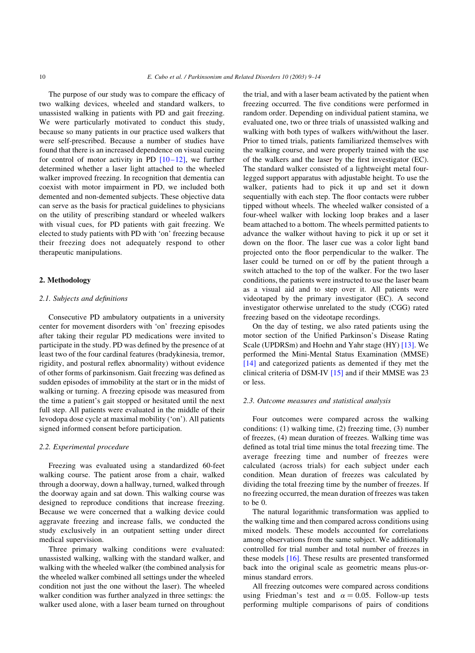The purpose of our study was to compare the efficacy of two walking devices, wheeled and standard walkers, to unassisted walking in patients with PD and gait freezing. We were particularly motivated to conduct this study, because so many patients in our practice used walkers that were self-prescribed. Because a number of studies have found that there is an increased dependence on visual cueing for control of motor activity in PD  $[10-12]$ , we further determined whether a laser light attached to the wheeled walker improved freezing. In recognition that dementia can coexist with motor impairment in PD, we included both demented and non-demented subjects. These objective data can serve as the basis for practical guidelines to physicians on the utility of prescribing standard or wheeled walkers with visual cues, for PD patients with gait freezing. We elected to study patients with PD with 'on' freezing because their freezing does not adequately respond to other therapeutic manipulations.

#### 2. Methodology

## 2.1. Subjects and definitions

Consecutive PD ambulatory outpatients in a university center for movement disorders with 'on' freezing episodes after taking their regular PD medications were invited to participate in the study. PD was defined by the presence of at least two of the four cardinal features (bradykinesia, tremor, rigidity, and postural reflex abnormality) without evidence of other forms of parkinsonism. Gait freezing was defined as sudden episodes of immobility at the start or in the midst of walking or turning. A freezing episode was measured from the time a patient's gait stopped or hesitated until the next full step. All patients were evaluated in the middle of their levodopa dose cycle at maximal mobility ('on'). All patients signed informed consent before participation.

## 2.2. Experimental procedure

Freezing was evaluated using a standardized 60-feet walking course. The patient arose from a chair, walked through a doorway, down a hallway, turned, walked through the doorway again and sat down. This walking course was designed to reproduce conditions that increase freezing. Because we were concerned that a walking device could aggravate freezing and increase falls, we conducted the study exclusively in an outpatient setting under direct medical supervision.

Three primary walking conditions were evaluated: unassisted walking, walking with the standard walker, and walking with the wheeled walker (the combined analysis for the wheeled walker combined all settings under the wheeled condition not just the one without the laser). The wheeled walker condition was further analyzed in three settings: the walker used alone, with a laser beam turned on throughout the trial, and with a laser beam activated by the patient when freezing occurred. The five conditions were performed in random order. Depending on individual patient stamina, we evaluated one, two or three trials of unassisted walking and walking with both types of walkers with/without the laser. Prior to timed trials, patients familiarized themselves with the walking course, and were properly trained with the use of the walkers and the laser by the first investigator (EC). The standard walker consisted of a lightweight metal fourlegged support apparatus with adjustable height. To use the walker, patients had to pick it up and set it down sequentially with each step. The floor contacts were rubber tipped without wheels. The wheeled walker consisted of a four-wheel walker with locking loop brakes and a laser beam attached to a bottom. The wheels permitted patients to advance the walker without having to pick it up or set it down on the floor. The laser cue was a color light band projected onto the floor perpendicular to the walker. The laser could be turned on or off by the patient through a switch attached to the top of the walker. For the two laser conditions, the patients were instructed to use the laser beam as a visual aid and to step over it. All patients were videotaped by the primary investigator (EC). A second investigator otherwise unrelated to the study (CGG) rated freezing based on the videotape recordings.

On the day of testing, we also rated patients using the motor section of the Unified Parkinson's Disease Rating Scale (UPDRSm) and Hoehn and Yahr stage (HY) [\[13\]](#page-5-0). We performed the Mini-Mental Status Examination (MMSE) [\[14\]](#page-5-0) and categorized patients as demented if they met the clinical criteria of DSM-IV [\[15\]](#page-5-0) and if their MMSE was 23 or less.

#### 2.3. Outcome measures and statistical analysis

Four outcomes were compared across the walking conditions: (1) walking time, (2) freezing time, (3) number of freezes, (4) mean duration of freezes. Walking time was defined as total trial time minus the total freezing time. The average freezing time and number of freezes were calculated (across trials) for each subject under each condition. Mean duration of freezes was calculated by dividing the total freezing time by the number of freezes. If no freezing occurred, the mean duration of freezes was taken to be 0.

The natural logarithmic transformation was applied to the walking time and then compared across conditions using mixed models. These models accounted for correlations among observations from the same subject. We additionally controlled for trial number and total number of freezes in these models [\[16\].](#page-5-0) These results are presented transformed back into the original scale as geometric means plus-orminus standard errors.

All freezing outcomes were compared across conditions using Friedman's test and  $\alpha = 0.05$ . Follow-up tests performing multiple comparisons of pairs of conditions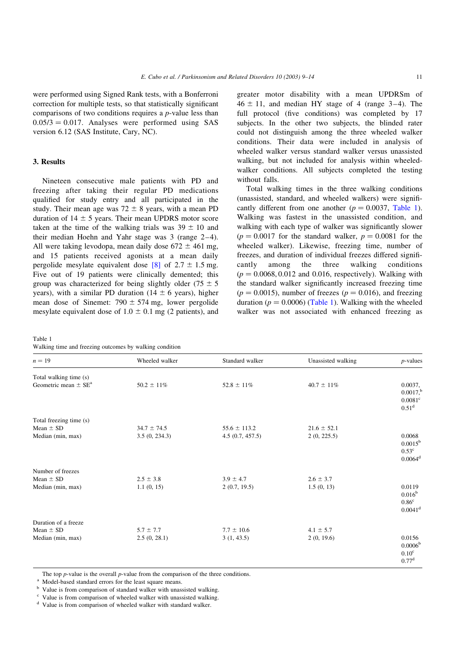were performed using Signed Rank tests, with a Bonferroni correction for multiple tests, so that statistically significant comparisons of two conditions requires a p-value less than  $0.05/3 = 0.017$ . Analyses were performed using SAS version 6.12 (SAS Institute, Cary, NC).

# 3. Results

Nineteen consecutive male patients with PD and freezing after taking their regular PD medications qualified for study entry and all participated in the study. Their mean age was  $72 \pm 8$  years, with a mean PD duration of  $14 \pm 5$  years. Their mean UPDRS motor score taken at the time of the walking trials was  $39 \pm 10$  and their median Hoehn and Yahr stage was 3 (range 2–4). All were taking levodopa, mean daily dose  $672 \pm 461$  mg, and 15 patients received agonists at a mean daily pergolide mesylate equivalent dose  $[8]$  of 2.7  $\pm$  1.5 mg. Five out of 19 patients were clinically demented; this group was characterized for being slightly older (75  $\pm$  5) years), with a similar PD duration (14  $\pm$  6 years), higher mean dose of Sinemet:  $790 \pm 574$  mg, lower pergolide mesylate equivalent dose of  $1.0 \pm 0.1$  mg (2 patients), and

greater motor disability with a mean UPDRSm of  $46 \pm 11$ , and median HY stage of 4 (range 3–4). The full protocol (five conditions) was completed by 17 subjects. In the other two subjects, the blinded rater could not distinguish among the three wheeled walker conditions. Their data were included in analysis of wheeled walker versus standard walker versus unassisted walking, but not included for analysis within wheeledwalker conditions. All subjects completed the testing without falls.

Total walking times in the three walking conditions (unassisted, standard, and wheeled walkers) were significantly different from one another  $(p = 0.0037,$  Table 1). Walking was fastest in the unassisted condition, and walking with each type of walker was significantly slower  $(p = 0.0017$  for the standard walker,  $p = 0.0081$  for the wheeled walker). Likewise, freezing time, number of freezes, and duration of individual freezes differed significantly among the three walking conditions  $(p = 0.0068, 0.012$  and 0.016, respectively). Walking with the standard walker significantly increased freezing time  $(p = 0.0015)$ , number of freezes  $(p = 0.016)$ , and freezing duration ( $p = 0.0006$ ) (Table 1). Walking with the wheeled walker was not associated with enhanced freezing as

Table 1

Walking time and freezing outcomes by walking condition

| $n = 19$                             | Wheeled walker  | Standard walker  | Unassisted walking | $p$ -values                                                                      |
|--------------------------------------|-----------------|------------------|--------------------|----------------------------------------------------------------------------------|
| Total walking time (s)               |                 |                  |                    |                                                                                  |
| Geometric mean $\pm$ SE <sup>a</sup> | $50.2 \pm 11\%$ | $52.8 \pm 11\%$  | $40.7 \pm 11\%$    | 0.0037,<br>$0.0017$ , <sup>b</sup><br>$0.0081$ <sup>c</sup><br>0.51 <sup>d</sup> |
| Total freezing time (s)              |                 |                  |                    |                                                                                  |
| Mean $\pm$ SD                        | $34.7 \pm 74.5$ | $55.6 \pm 113.2$ | $21.6 \pm 52.1$    |                                                                                  |
| Median (min, max)                    | 3.5(0, 234.3)   | 4.5(0.7, 457.5)  | 2(0, 225.5)        | 0.0068<br>$0.0015^{\rm b}$<br>$0.53^{\circ}$<br>$0.0064^d$                       |
| Number of freezes                    |                 |                  |                    |                                                                                  |
| Mean $\pm$ SD                        | $2.5 \pm 3.8$   | $3.9 \pm 4.7$    | $2.6 \pm 3.7$      |                                                                                  |
| Median (min, max)                    | 1.1(0, 15)      | 2(0.7, 19.5)     | 1.5(0, 13)         | 0.0119<br>$0.016^{\rm b}$<br>0.86 <sup>c</sup><br>$0.0041$ <sup>d</sup>          |
| Duration of a freeze                 |                 |                  |                    |                                                                                  |
| Mean $\pm$ SD                        | $5.7 \pm 7.7$   | $7.7 \pm 10.6$   | $4.1 \pm 5.7$      |                                                                                  |
| Median (min, max)                    | 2.5(0, 28.1)    | 3(1, 43.5)       | 2(0, 19.6)         | 0.0156<br>0.0006 <sup>b</sup><br>$0.10^{\circ}$<br>0.77 <sup>d</sup>             |

The top *p*-value is the overall *p*-value from the comparison of the three conditions.<br><sup>a</sup> Model-based standard errors for the least square means.<br><sup>b</sup> Value is from comparison of standard walker with unassisted walking.<br>

<sup>d</sup> Value is from comparison of wheeled walker with standard walker.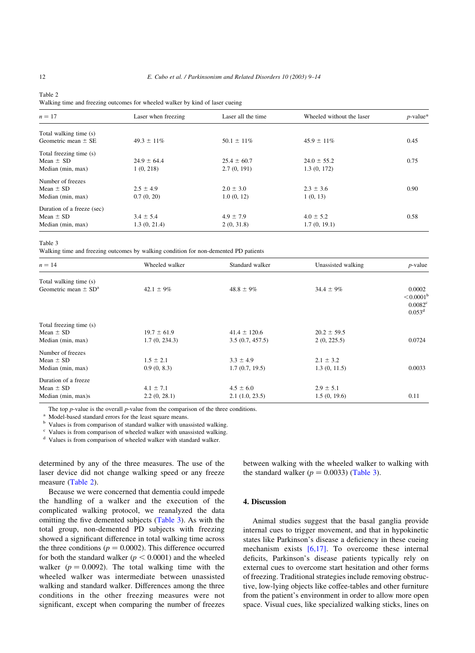| Table 2                                                                       |
|-------------------------------------------------------------------------------|
| Walking time and freezing outcomes for wheeled walker by kind of laser cueing |

| $n=17$                     | Laser when freezing | Laser all the time | Wheeled without the laser | $p$ -value* |
|----------------------------|---------------------|--------------------|---------------------------|-------------|
| Total walking time (s)     |                     |                    |                           |             |
| Geometric mean $\pm$ SE    | $49.3 \pm 11\%$     | $50.1 \pm 11\%$    | $45.9 \pm 11\%$           | 0.45        |
| Total freezing time (s)    |                     |                    |                           |             |
| Mean $\pm$ SD              | $24.9 \pm 64.4$     | $25.4 \pm 60.7$    | $24.0 \pm 55.2$           | 0.75        |
| Median (min, max)          | 1(0, 218)           | 2.7(0, 191)        | 1.3(0, 172)               |             |
| Number of freezes          |                     |                    |                           |             |
| Mean $\pm$ SD              | $2.5 \pm 4.9$       | $2.0 \pm 3.0$      | $2.3 \pm 3.6$             | 0.90        |
| Median (min, max)          | 0.7(0, 20)          | 1.0(0, 12)         | 1(0, 13)                  |             |
| Duration of a freeze (sec) |                     |                    |                           |             |
| Mean $\pm$ SD              | $3.4 \pm 5.4$       | $4.9 \pm 7.9$      | $4.0 \pm 5.2$             | 0.58        |
| Median (min, max)          | 1.3(0, 21.4)        | 2(0, 31.8)         | 1.7(0, 19.1)              |             |

Table 3

Walking time and freezing outcomes by walking condition for non-demented PD patients

| $n = 14$                             | Wheeled walker  | Standard walker  | Unassisted walking | $p$ -value                                                       |
|--------------------------------------|-----------------|------------------|--------------------|------------------------------------------------------------------|
| Total walking time (s)               |                 |                  |                    |                                                                  |
| Geometric mean $\pm$ SD <sup>a</sup> | $42.1 \pm 9\%$  | $48.8 \pm 9\%$   | $34.4 \pm 9\%$     | 0.0002<br>$\leq 0.0001^{\rm b}$<br>$0.0082^{\circ}$<br>$0.053^d$ |
| Total freezing time (s)              |                 |                  |                    |                                                                  |
| Mean $\pm$ SD                        | $19.7 \pm 61.9$ | $41.4 \pm 120.6$ | $20.2 \pm 59.5$    |                                                                  |
| Median (min, max)                    | 1.7(0, 234.3)   | 3.5(0.7, 457.5)  | 2(0, 225.5)        | 0.0724                                                           |
| Number of freezes                    |                 |                  |                    |                                                                  |
| Mean $\pm$ SD                        | $1.5 \pm 2.1$   | $3.3 \pm 4.9$    | $2.1 \pm 3.2$      |                                                                  |
| Median (min, max)                    | 0.9(0, 8.3)     | 1.7(0.7, 19.5)   | 1.3(0, 11.5)       | 0.0033                                                           |
| Duration of a freeze                 |                 |                  |                    |                                                                  |
| Mean $\pm$ SD                        | $4.1 \pm 7.1$   | $4.5 \pm 6.0$    | $2.9 \pm 5.1$      |                                                                  |
| Median (min, max)s                   | 2.2(0, 28.1)    | 2.1(1.0, 23.5)   | 1.5(0, 19.6)       | 0.11                                                             |

The top *p*-value is the overall *p*-value from the comparison of the three conditions. a Model-based standard errors for the least square means. b Values is from comparison of standard walker with unassisted walking.

<sup>c</sup> Values is from comparison of wheeled walker with unassisted walking.  $d$  Values is from comparison of wheeled walker with standard walker.

determined by any of the three measures. The use of the laser device did not change walking speed or any freeze measure (Table 2).

Because we were concerned that dementia could impede the handling of a walker and the execution of the complicated walking protocol, we reanalyzed the data omitting the five demented subjects (Table 3). As with the total group, non-demented PD subjects with freezing showed a significant difference in total walking time across the three conditions ( $p = 0.0002$ ). This difference occurred for both the standard walker ( $p < 0.0001$ ) and the wheeled walker  $(p = 0.0092)$ . The total walking time with the wheeled walker was intermediate between unassisted walking and standard walker. Differences among the three conditions in the other freezing measures were not significant, except when comparing the number of freezes between walking with the wheeled walker to walking with the standard walker  $(p = 0.0033)$  (Table 3).

## 4. Discussion

Animal studies suggest that the basal ganglia provide internal cues to trigger movement, and that in hypokinetic states like Parkinson's disease a deficiency in these cueing mechanism exists  $[6,17]$ . To overcome these internal deficits, Parkinson's disease patients typically rely on external cues to overcome start hesitation and other forms of freezing. Traditional strategies include removing obstructive, low-lying objects like coffee-tables and other furniture from the patient's environment in order to allow more open space. Visual cues, like specialized walking sticks, lines on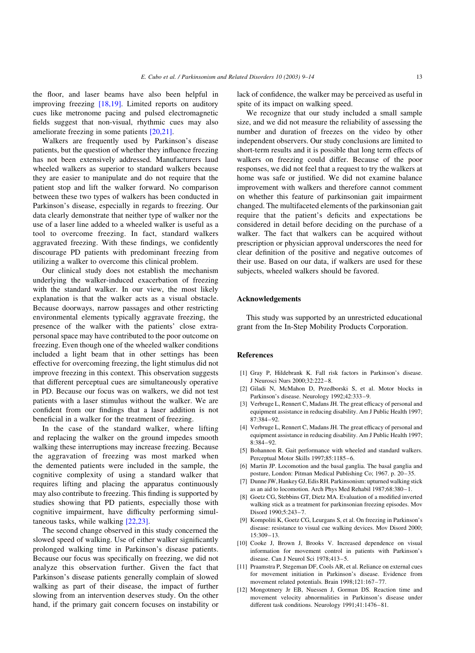<span id="page-4-0"></span>the floor, and laser beams have also been helpful in improving freezing [\[18,19\]](#page-5-0). Limited reports on auditory cues like metronome pacing and pulsed electromagnetic fields suggest that non-visual, rhythmic cues may also ameliorate freezing in some patients [\[20,21\].](#page-5-0)

Walkers are frequently used by Parkinson's disease patients, but the question of whether they influence freezing has not been extensively addressed. Manufacturers laud wheeled walkers as superior to standard walkers because they are easier to manipulate and do not require that the patient stop and lift the walker forward. No comparison between these two types of walkers has been conducted in Parkinson's disease, especially in regards to freezing. Our data clearly demonstrate that neither type of walker nor the use of a laser line added to a wheeled walker is useful as a tool to overcome freezing. In fact, standard walkers aggravated freezing. With these findings, we confidently discourage PD patients with predominant freezing from utilizing a walker to overcome this clinical problem.

Our clinical study does not establish the mechanism underlying the walker-induced exacerbation of freezing with the standard walker. In our view, the most likely explanation is that the walker acts as a visual obstacle. Because doorways, narrow passages and other restricting environmental elements typically aggravate freezing, the presence of the walker with the patients' close extrapersonal space may have contributed to the poor outcome on freezing. Even though one of the wheeled walker conditions included a light beam that in other settings has been effective for overcoming freezing, the light stimulus did not improve freezing in this context. This observation suggests that different perceptual cues are simultaneously operative in PD. Because our focus was on walkers, we did not test patients with a laser stimulus without the walker. We are confident from our findings that a laser addition is not beneficial in a walker for the treatment of freezing.

In the case of the standard walker, where lifting and replacing the walker on the ground impedes smooth walking these interruptions may increase freezing. Because the aggravation of freezing was most marked when the demented patients were included in the sample, the cognitive complexity of using a standard walker that requires lifting and placing the apparatus continuously may also contribute to freezing. This finding is supported by studies showing that PD patients, especially those with cognitive impairment, have difficulty performing simultaneous tasks, while walking [\[22,23\]](#page-5-0).

The second change observed in this study concerned the slowed speed of walking. Use of either walker significantly prolonged walking time in Parkinson's disease patients. Because our focus was specifically on freezing, we did not analyze this observation further. Given the fact that Parkinson's disease patients generally complain of slowed walking as part of their disease, the impact of further slowing from an intervention deserves study. On the other hand, if the primary gait concern focuses on instability or lack of confidence, the walker may be perceived as useful in spite of its impact on walking speed.

We recognize that our study included a small sample size, and we did not measure the reliability of assessing the number and duration of freezes on the video by other independent observers. Our study conclusions are limited to short-term results and it is possible that long term effects of walkers on freezing could differ. Because of the poor responses, we did not feel that a request to try the walkers at home was safe or justified. We did not examine balance improvement with walkers and therefore cannot comment on whether this feature of parkinsonian gait impairment changed. The multifaceted elements of the parkinsonian gait require that the patient's deficits and expectations be considered in detail before deciding on the purchase of a walker. The fact that walkers can be acquired without prescription or physician approval underscores the need for clear definition of the positive and negative outcomes of their use. Based on our data, if walkers are used for these subjects, wheeled walkers should be favored.

#### Acknowledgements

This study was supported by an unrestricted educational grant from the In-Step Mobility Products Corporation.

## References

- [1] Gray P, Hildebrank K. Fall risk factors in Parkinson's disease. J Neurosci Nurs 2000;32:222–8.
- [2] Giladi N, McMahon D, Przedborski S, et al. Motor blocks in Parkinson's disease. Neurology 1992;42:333–9.
- [3] Verbruge L, Rennert C, Madans JH. The great efficacy of personal and equipment assistance in reducing disability. Am J Public Health 1997; 87:384–92.
- [4] Verbruge L, Rennert C, Madans JH. The great efficacy of personal and equipment assistance in reducing disability. Am J Public Health 1997;  $8.384 - 92$
- [5] Bohannon R. Gait performance with wheeled and standard walkers. Perceptual Motor Skills 1997;85:1185–6.
- [6] Martin JP. Locomotion and the basal ganglia. The basal ganglia and posture, London: Pitman Medical Publishing Co; 1967. p. 20–35.
- [7] Dunne JW, Hankey GJ, Edis RH. Parkinsonism: upturned walking stick as an aid to locomotion. Arch Phys Med Rehabil 1987;68:380–1.
- [8] Goetz CG, Stebbins GT, Dietz MA. Evaluation of a modified inverted walking stick as a treatment for parkinsonian freezing episodes. Mov Disord 1990;5:243–7.
- [9] Kompoliti K, Goetz CG, Leurgans S, et al. On freezing in Parkinson's disease: resistance to visual cue walking devices. Mov Disord 2000; 15:309–13.
- [10] Cooke J, Brown J, Brooks V. Increased dependence on visual information for movement control in patients with Parkinson's disease. Can J Neurol Sci 1978;413–5.
- [11] Praamstra P, Stegeman DF, Cools AR, et al. Reliance on external cues for movement initiation in Parkinson's disease. Evidence from movement related potentials. Brain 1998;121:167–77.
- [12] Mongotmery Jr EB, Nuessen J, Gorman DS. Reaction time and movement velocity abnormalities in Parkinson's disease under different task conditions. Neurology 1991;41:1476–81.